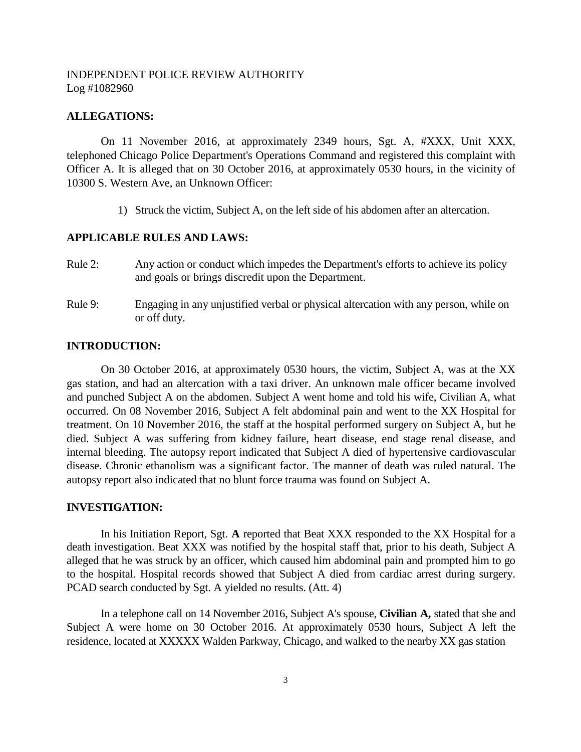# INDEPENDENT POLICE REVIEW AUTHORITY Log #1082960

#### **ALLEGATIONS:**

On 11 November 2016, at approximately 2349 hours, Sgt. A, #XXX, Unit XXX, telephoned Chicago Police Department's Operations Command and registered this complaint with Officer A. It is alleged that on 30 October 2016, at approximately 0530 hours, in the vicinity of 10300 S. Western Ave, an Unknown Officer:

1) Struck the victim, Subject A, on the left side of his abdomen after an altercation.

#### **APPLICABLE RULES AND LAWS:**

- Rule 2: Any action or conduct which impedes the Department's efforts to achieve its policy and goals or brings discredit upon the Department.
- Rule 9: Engaging in any unjustified verbal or physical altercation with any person, while on or off duty.

## **INTRODUCTION:**

On 30 October 2016, at approximately 0530 hours, the victim, Subject A, was at the XX gas station, and had an altercation with a taxi driver. An unknown male officer became involved and punched Subject A on the abdomen. Subject A went home and told his wife, Civilian A, what occurred. On 08 November 2016, Subject A felt abdominal pain and went to the XX Hospital for treatment. On 10 November 2016, the staff at the hospital performed surgery on Subject A, but he died. Subject A was suffering from kidney failure, heart disease, end stage renal disease, and internal bleeding. The autopsy report indicated that Subject A died of hypertensive cardiovascular disease. Chronic ethanolism was a significant factor. The manner of death was ruled natural. The autopsy report also indicated that no blunt force trauma was found on Subject A.

#### **INVESTIGATION:**

In his Initiation Report, Sgt. **A** reported that Beat XXX responded to the XX Hospital for a death investigation. Beat XXX was notified by the hospital staff that, prior to his death, Subject A alleged that he was struck by an officer, which caused him abdominal pain and prompted him to go to the hospital. Hospital records showed that Subject A died from cardiac arrest during surgery. PCAD search conducted by Sgt. A yielded no results. (Att. 4)

In a telephone call on 14 November 2016, Subject A's spouse, **Civilian A,** stated that she and Subject A were home on 30 October 2016. At approximately 0530 hours, Subject A left the residence, located at XXXXX Walden Parkway, Chicago, and walked to the nearby XX gas station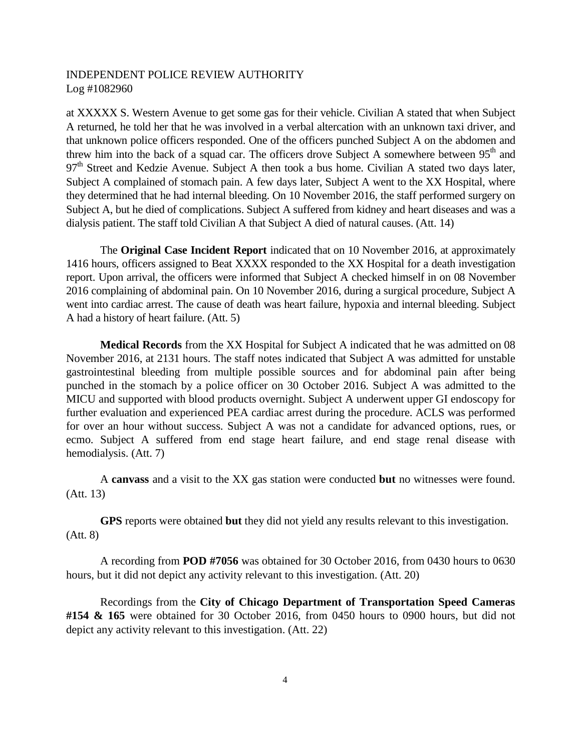# INDEPENDENT POLICE REVIEW AUTHORITY Log #1082960

at XXXXX S. Western Avenue to get some gas for their vehicle. Civilian A stated that when Subject A returned, he told her that he was involved in a verbal altercation with an unknown taxi driver, and that unknown police officers responded. One of the officers punched Subject A on the abdomen and threw him into the back of a squad car. The officers drove Subject A somewhere between  $95<sup>th</sup>$  and  $97<sup>th</sup>$  Street and Kedzie Avenue. Subject A then took a bus home. Civilian A stated two days later, Subject A complained of stomach pain. A few days later, Subject A went to the XX Hospital, where they determined that he had internal bleeding. On 10 November 2016, the staff performed surgery on Subject A, but he died of complications. Subject A suffered from kidney and heart diseases and was a dialysis patient. The staff told Civilian A that Subject A died of natural causes. (Att. 14)

The **Original Case Incident Report** indicated that on 10 November 2016, at approximately 1416 hours, officers assigned to Beat XXXX responded to the XX Hospital for a death investigation report. Upon arrival, the officers were informed that Subject A checked himself in on 08 November 2016 complaining of abdominal pain. On 10 November 2016, during a surgical procedure, Subject A went into cardiac arrest. The cause of death was heart failure, hypoxia and internal bleeding. Subject A had a history of heart failure. (Att. 5)

**Medical Records** from the XX Hospital for Subject A indicated that he was admitted on 08 November 2016, at 2131 hours. The staff notes indicated that Subject A was admitted for unstable gastrointestinal bleeding from multiple possible sources and for abdominal pain after being punched in the stomach by a police officer on 30 October 2016. Subject A was admitted to the MICU and supported with blood products overnight. Subject A underwent upper GI endoscopy for further evaluation and experienced PEA cardiac arrest during the procedure. ACLS was performed for over an hour without success. Subject A was not a candidate for advanced options, rues, or ecmo. Subject A suffered from end stage heart failure, and end stage renal disease with hemodialysis. (Att. 7)

A **canvass** and a visit to the XX gas station were conducted **but** no witnesses were found. (Att. 13)

**GPS** reports were obtained **but** they did not yield any results relevant to this investigation. (Att. 8)

A recording from **POD #7056** was obtained for 30 October 2016, from 0430 hours to 0630 hours, but it did not depict any activity relevant to this investigation. (Att. 20)

Recordings from the **City of Chicago Department of Transportation Speed Cameras #154 & 165** were obtained for 30 October 2016, from 0450 hours to 0900 hours, but did not depict any activity relevant to this investigation. (Att. 22)